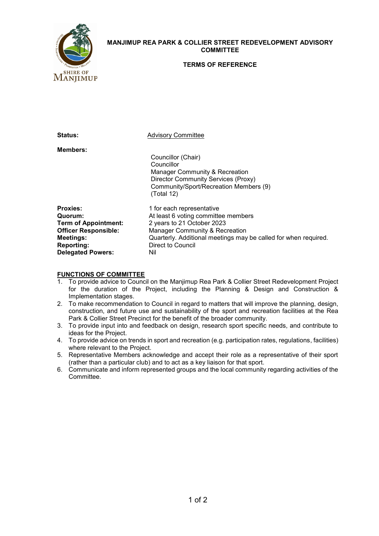

## **MANJIMUP REA PARK & COLLIER STREET REDEVELOPMENT ADVISORY COMMITTEE**

#### **TERMS OF REFERENCE**

| <b>Status:</b>                                                                                                                                                | <b>Advisory Committee</b>                                                                                                                                                                                                       |
|---------------------------------------------------------------------------------------------------------------------------------------------------------------|---------------------------------------------------------------------------------------------------------------------------------------------------------------------------------------------------------------------------------|
| <b>Members:</b>                                                                                                                                               | Councillor (Chair)<br>Councillor<br>Manager Community & Recreation<br><b>Director Community Services (Proxy)</b><br>Community/Sport/Recreation Members (9)<br>(Total 12)                                                        |
| <b>Proxies:</b><br>Quorum:<br><b>Term of Appointment:</b><br><b>Officer Responsible:</b><br><b>Meetings:</b><br><b>Reporting:</b><br><b>Delegated Powers:</b> | 1 for each representative<br>At least 6 voting committee members<br>2 years to 21 October 2023<br>Manager Community & Recreation<br>Quarterly. Additional meetings may be called for when required.<br>Direct to Council<br>Nil |

# **FUNCTIONS OF COMMITTEE**<br>1. To provide advice to Counc

- 1. To provide advice to Council on the Manjimup Rea Park & Collier Street Redevelopment Project for the duration of the Project, including the Planning & Design and Construction & Implementation stages.
- 2. To make recommendation to Council in regard to matters that will improve the planning, design, construction, and future use and sustainability of the sport and recreation facilities at the Rea Park & Collier Street Precinct for the benefit of the broader community.
- 3. To provide input into and feedback on design, research sport specific needs, and contribute to ideas for the Project.
- 4. To provide advice on trends in sport and recreation (e.g. participation rates, regulations, facilities) where relevant to the Project.
- 5. Representative Members acknowledge and accept their role as a representative of their sport (rather than a particular club) and to act as a key liaison for that sport.
- 6. Communicate and inform represented groups and the local community regarding activities of the Committee.